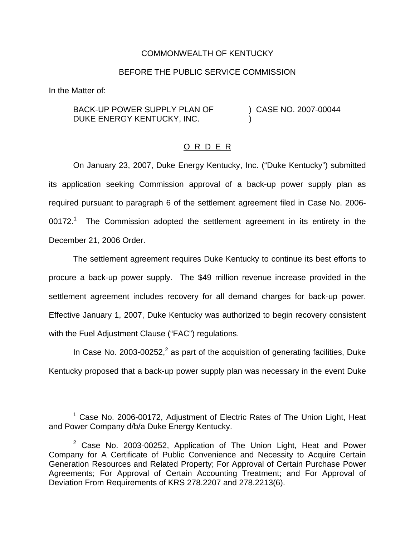## COMMONWEALTH OF KENTUCKY

## BEFORE THE PUBLIC SERVICE COMMISSION

In the Matter of:

BACK-UP POWER SUPPLY PLAN OF DUKE ENERGY KENTUCKY, INC. ) CASE NO. 2007-00044 )

## O R D E R

On January 23, 2007, Duke Energy Kentucky, Inc. ("Duke Kentucky") submitted its application seeking Commission approval of a back-up power supply plan as required pursuant to paragraph 6 of the settlement agreement filed in Case No. 2006-  $00172.<sup>1</sup>$  The Commission adopted the settlement agreement in its entirety in the December 21, 2006 Order.

The settlement agreement requires Duke Kentucky to continue its best efforts to procure a back-up power supply. The \$49 million revenue increase provided in the settlement agreement includes recovery for all demand charges for back-up power. Effective January 1, 2007, Duke Kentucky was authorized to begin recovery consistent with the Fuel Adjustment Clause ("FAC") regulations.

In Case No. 2003-00252, $^2$  as part of the acquisition of generating facilities, Duke Kentucky proposed that a back-up power supply plan was necessary in the event Duke

<sup>&</sup>lt;sup>1</sup> Case No. 2006-00172, Adjustment of Electric Rates of The Union Light, Heat and Power Company d/b/a Duke Energy Kentucky.

 $2$  Case No. 2003-00252, Application of The Union Light, Heat and Power Company for A Certificate of Public Convenience and Necessity to Acquire Certain Generation Resources and Related Property; For Approval of Certain Purchase Power Agreements; For Approval of Certain Accounting Treatment; and For Approval of Deviation From Requirements of KRS 278.2207 and 278.2213(6).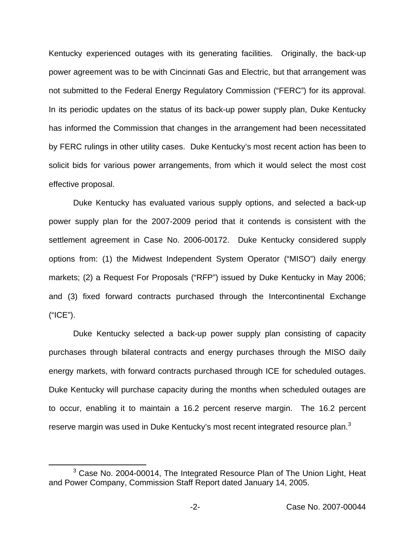Kentucky experienced outages with its generating facilities. Originally, the back-up power agreement was to be with Cincinnati Gas and Electric, but that arrangement was not submitted to the Federal Energy Regulatory Commission ("FERC") for its approval. In its periodic updates on the status of its back-up power supply plan, Duke Kentucky has informed the Commission that changes in the arrangement had been necessitated by FERC rulings in other utility cases. Duke Kentucky's most recent action has been to solicit bids for various power arrangements, from which it would select the most cost effective proposal.

Duke Kentucky has evaluated various supply options, and selected a back-up power supply plan for the 2007-2009 period that it contends is consistent with the settlement agreement in Case No. 2006-00172. Duke Kentucky considered supply options from: (1) the Midwest Independent System Operator ("MISO") daily energy markets; (2) a Request For Proposals ("RFP") issued by Duke Kentucky in May 2006; and (3) fixed forward contracts purchased through the Intercontinental Exchange ("ICE").

Duke Kentucky selected a back-up power supply plan consisting of capacity purchases through bilateral contracts and energy purchases through the MISO daily energy markets, with forward contracts purchased through ICE for scheduled outages. Duke Kentucky will purchase capacity during the months when scheduled outages are to occur, enabling it to maintain a 16.2 percent reserve margin. The 16.2 percent reserve margin was used in Duke Kentucky's most recent integrated resource plan.<sup>3</sup>

 $3$  Case No. 2004-00014, The Integrated Resource Plan of The Union Light, Heat and Power Company, Commission Staff Report dated January 14, 2005.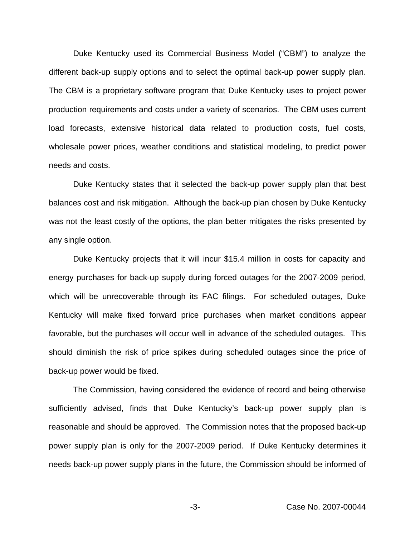Duke Kentucky used its Commercial Business Model ("CBM") to analyze the different back-up supply options and to select the optimal back-up power supply plan. The CBM is a proprietary software program that Duke Kentucky uses to project power production requirements and costs under a variety of scenarios. The CBM uses current load forecasts, extensive historical data related to production costs, fuel costs, wholesale power prices, weather conditions and statistical modeling, to predict power needs and costs.

Duke Kentucky states that it selected the back-up power supply plan that best balances cost and risk mitigation. Although the back-up plan chosen by Duke Kentucky was not the least costly of the options, the plan better mitigates the risks presented by any single option.

Duke Kentucky projects that it will incur \$15.4 million in costs for capacity and energy purchases for back-up supply during forced outages for the 2007-2009 period, which will be unrecoverable through its FAC filings. For scheduled outages, Duke Kentucky will make fixed forward price purchases when market conditions appear favorable, but the purchases will occur well in advance of the scheduled outages. This should diminish the risk of price spikes during scheduled outages since the price of back-up power would be fixed.

The Commission, having considered the evidence of record and being otherwise sufficiently advised, finds that Duke Kentucky's back-up power supply plan is reasonable and should be approved. The Commission notes that the proposed back-up power supply plan is only for the 2007-2009 period. If Duke Kentucky determines it needs back-up power supply plans in the future, the Commission should be informed of